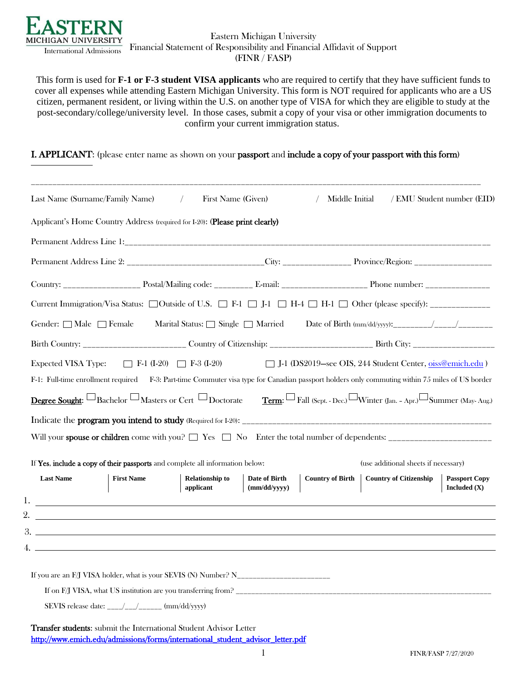

## Eastern Michigan University Financial Statement of Responsibility and Financial Affidavit of Support (FINR / FASP)

This form is used for **F-1 or F-3 student VISA applicants** who are required to certify that they have sufficient funds to cover all expenses while attending Eastern Michigan University. This form is NOT required for applicants who are a US citizen, permanent resident, or living within the U.S. on another type of VISA for which they are eligible to study at the post-secondary/college/university level. In those cases, submit a copy of your visa or other immigration documents to confirm your current immigration status.

I. APPLICANT: (please enter name as shown on your passport and include a copy of your passport with this form)

|                                   | Last Name (Surname/Family Name)                                                                                        | First Name (Given)<br>$\sqrt{2}$                                                                                                               |                               | Middle Initial          |                                                                                                                                                                                                      |                      |
|-----------------------------------|------------------------------------------------------------------------------------------------------------------------|------------------------------------------------------------------------------------------------------------------------------------------------|-------------------------------|-------------------------|------------------------------------------------------------------------------------------------------------------------------------------------------------------------------------------------------|----------------------|
|                                   | Applicant's Home Country Address (required for I-20): (Please print clearly)                                           |                                                                                                                                                |                               |                         |                                                                                                                                                                                                      |                      |
|                                   |                                                                                                                        |                                                                                                                                                |                               |                         |                                                                                                                                                                                                      |                      |
|                                   |                                                                                                                        |                                                                                                                                                |                               |                         |                                                                                                                                                                                                      |                      |
|                                   |                                                                                                                        |                                                                                                                                                |                               |                         |                                                                                                                                                                                                      |                      |
|                                   |                                                                                                                        |                                                                                                                                                |                               |                         | Current Immigration/Visa Status: □Outside of U.S. □ F-1 □ J-1 □ H-4 □ H-1 □ Other (please specify): ________________                                                                                 |                      |
| Gender: $\Box$ Male $\Box$ Female |                                                                                                                        | Marital Status: $\Box$ Single $\Box$ Married                                                                                                   |                               |                         |                                                                                                                                                                                                      |                      |
|                                   |                                                                                                                        |                                                                                                                                                |                               |                         |                                                                                                                                                                                                      |                      |
|                                   |                                                                                                                        | F-1: Full-time enrollment required F-3: Part-time Commuter visa type for Canadian passport holders only commuting within 75 miles of US border |                               |                         |                                                                                                                                                                                                      |                      |
|                                   | If Yes, include a copy of their passports and complete all information below:                                          |                                                                                                                                                |                               |                         | <b>Degree Sought:</b> Bachelor $\Box$ Masters or Cert $\Box$ Doctorate Term: $\Box$ Fall (Sept. - Dec.) $\Box$ Winter (Jan. - Apr.) $\Box$ Summer (May-Aug.)<br>(use additional sheets if necessary) |                      |
| <b>Last Name</b>                  | <b>First Name</b>                                                                                                      | <b>Relationship to</b><br>applicant                                                                                                            | Date of Birth<br>(mm/dd/yyyy) | <b>Country of Birth</b> | <b>Country of Citizenship</b>                                                                                                                                                                        | Included $(X)$       |
|                                   | <u> 1989 - Johann Stoff, Amerikaansk politiker († 1989)</u>                                                            |                                                                                                                                                |                               |                         |                                                                                                                                                                                                      | <b>Passport Copy</b> |
| 4. .                              | <u> 1989 - Johann Stoff, deutscher Stoffen und der Stoffen und der Stoffen und der Stoffen und der Stoffen und der</u> |                                                                                                                                                |                               |                         |                                                                                                                                                                                                      |                      |